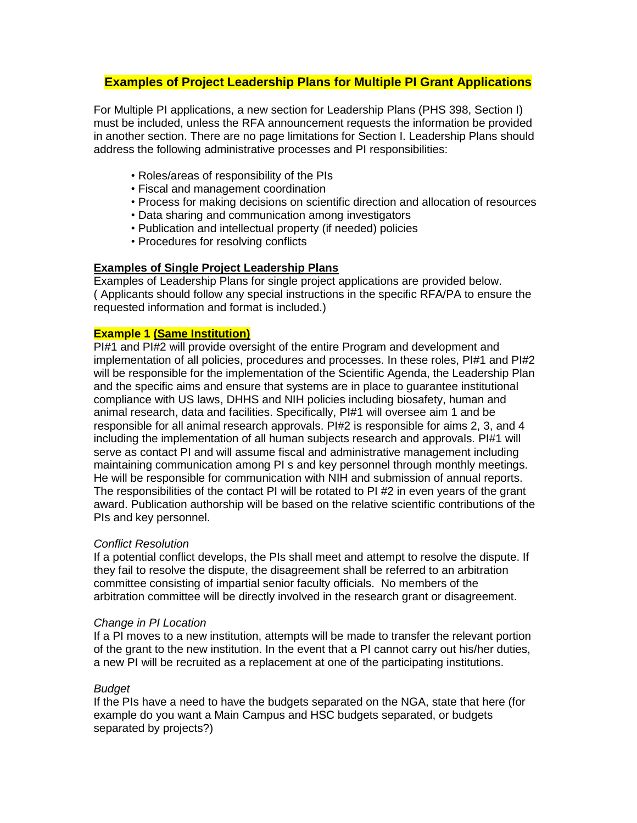# **Examples of Project Leadership Plans for Multiple PI Grant Applications**

For Multiple PI applications, a new section for Leadership Plans (PHS 398, Section I) must be included, unless the RFA announcement requests the information be provided in another section. There are no page limitations for Section I. Leadership Plans should address the following administrative processes and PI responsibilities:

- Roles/areas of responsibility of the PIs
- Fiscal and management coordination
- Process for making decisions on scientific direction and allocation of resources
- Data sharing and communication among investigators
- Publication and intellectual property (if needed) policies
- Procedures for resolving conflicts

## **Examples of Single Project Leadership Plans**

Examples of Leadership Plans for single project applications are provided below. ( Applicants should follow any special instructions in the specific RFA/PA to ensure the requested information and format is included.)

#### **Example 1 (Same Institution)**

PI#1 and PI#2 will provide oversight of the entire Program and development and implementation of all policies, procedures and processes. In these roles, PI#1 and PI#2 will be responsible for the implementation of the Scientific Agenda, the Leadership Plan and the specific aims and ensure that systems are in place to guarantee institutional compliance with US laws, DHHS and NIH policies including biosafety, human and animal research, data and facilities. Specifically, PI#1 will oversee aim 1 and be responsible for all animal research approvals. PI#2 is responsible for aims 2, 3, and 4 including the implementation of all human subjects research and approvals. PI#1 will serve as contact PI and will assume fiscal and administrative management including maintaining communication among PI s and key personnel through monthly meetings. He will be responsible for communication with NIH and submission of annual reports. The responsibilities of the contact PI will be rotated to PI #2 in even years of the grant award. Publication authorship will be based on the relative scientific contributions of the PIs and key personnel.

#### *Conflict Resolution*

If a potential conflict develops, the PIs shall meet and attempt to resolve the dispute. If they fail to resolve the dispute, the disagreement shall be referred to an arbitration committee consisting of impartial senior faculty officials. No members of the arbitration committee will be directly involved in the research grant or disagreement.

#### *Change in PI Location*

If a PI moves to a new institution, attempts will be made to transfer the relevant portion of the grant to the new institution. In the event that a PI cannot carry out his/her duties, a new PI will be recruited as a replacement at one of the participating institutions.

# *Budget*

If the PIs have a need to have the budgets separated on the NGA, state that here (for example do you want a Main Campus and HSC budgets separated, or budgets separated by projects?)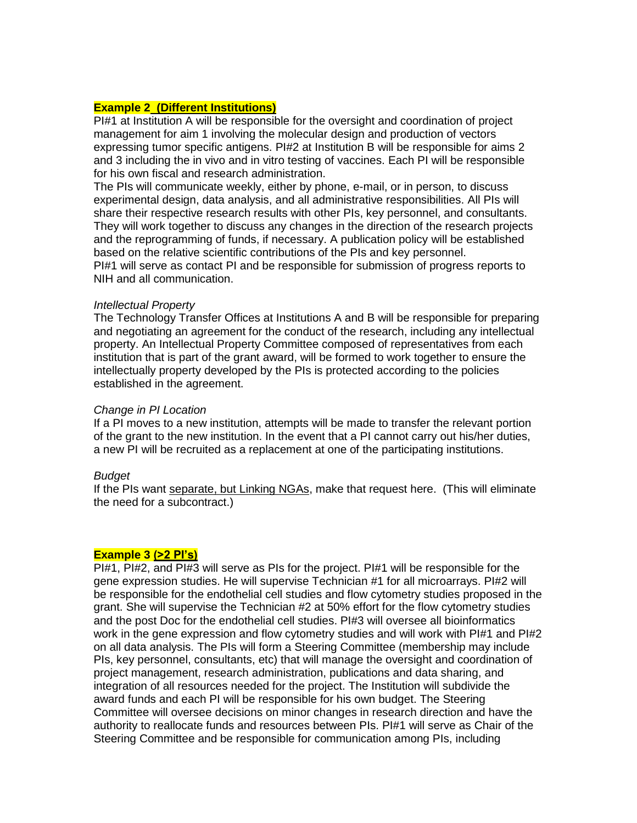# **Example 2 (Different Institutions)**

PI#1 at Institution A will be responsible for the oversight and coordination of project management for aim 1 involving the molecular design and production of vectors expressing tumor specific antigens. PI#2 at Institution B will be responsible for aims 2 and 3 including the in vivo and in vitro testing of vaccines. Each PI will be responsible for his own fiscal and research administration.

The PIs will communicate weekly, either by phone, e-mail, or in person, to discuss experimental design, data analysis, and all administrative responsibilities. All PIs will share their respective research results with other PIs, key personnel, and consultants. They will work together to discuss any changes in the direction of the research projects and the reprogramming of funds, if necessary. A publication policy will be established based on the relative scientific contributions of the PIs and key personnel. PI#1 will serve as contact PI and be responsible for submission of progress reports to NIH and all communication.

#### *Intellectual Property*

The Technology Transfer Offices at Institutions A and B will be responsible for preparing and negotiating an agreement for the conduct of the research, including any intellectual property. An Intellectual Property Committee composed of representatives from each institution that is part of the grant award, will be formed to work together to ensure the intellectually property developed by the PIs is protected according to the policies established in the agreement.

#### *Change in PI Location*

If a PI moves to a new institution, attempts will be made to transfer the relevant portion of the grant to the new institution. In the event that a PI cannot carry out his/her duties, a new PI will be recruited as a replacement at one of the participating institutions.

#### *Budget*

If the PIs want separate, but Linking NGAs, make that request here. (This will eliminate the need for a subcontract.)

### **Example 3 (>2 PI's)**

PI#1, PI#2, and PI#3 will serve as PIs for the project. PI#1 will be responsible for the gene expression studies. He will supervise Technician #1 for all microarrays. PI#2 will be responsible for the endothelial cell studies and flow cytometry studies proposed in the grant. She will supervise the Technician #2 at 50% effort for the flow cytometry studies and the post Doc for the endothelial cell studies. PI#3 will oversee all bioinformatics work in the gene expression and flow cytometry studies and will work with PI#1 and PI#2 on all data analysis. The PIs will form a Steering Committee (membership may include PIs, key personnel, consultants, etc) that will manage the oversight and coordination of project management, research administration, publications and data sharing, and integration of all resources needed for the project. The Institution will subdivide the award funds and each PI will be responsible for his own budget. The Steering Committee will oversee decisions on minor changes in research direction and have the authority to reallocate funds and resources between PIs. PI#1 will serve as Chair of the Steering Committee and be responsible for communication among PIs, including